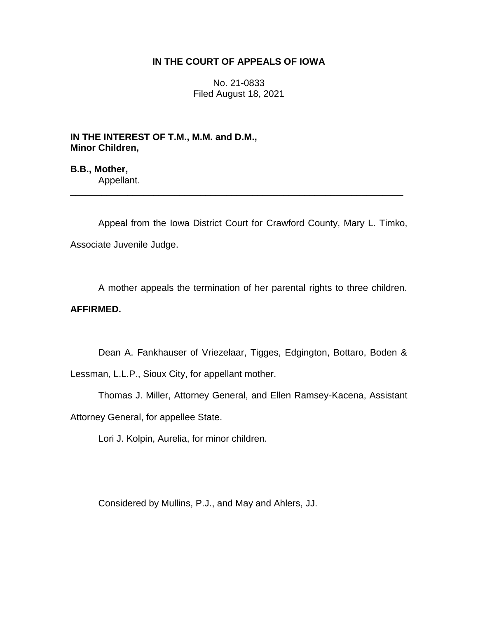### **IN THE COURT OF APPEALS OF IOWA**

No. 21-0833 Filed August 18, 2021

**IN THE INTEREST OF T.M., M.M. and D.M., Minor Children,**

**B.B., Mother,** Appellant.

Appeal from the Iowa District Court for Crawford County, Mary L. Timko, Associate Juvenile Judge.

\_\_\_\_\_\_\_\_\_\_\_\_\_\_\_\_\_\_\_\_\_\_\_\_\_\_\_\_\_\_\_\_\_\_\_\_\_\_\_\_\_\_\_\_\_\_\_\_\_\_\_\_\_\_\_\_\_\_\_\_\_\_\_\_

A mother appeals the termination of her parental rights to three children. **AFFIRMED.**

Dean A. Fankhauser of Vriezelaar, Tigges, Edgington, Bottaro, Boden &

Lessman, L.L.P., Sioux City, for appellant mother.

Thomas J. Miller, Attorney General, and Ellen Ramsey-Kacena, Assistant

Attorney General, for appellee State.

Lori J. Kolpin, Aurelia, for minor children.

Considered by Mullins, P.J., and May and Ahlers, JJ.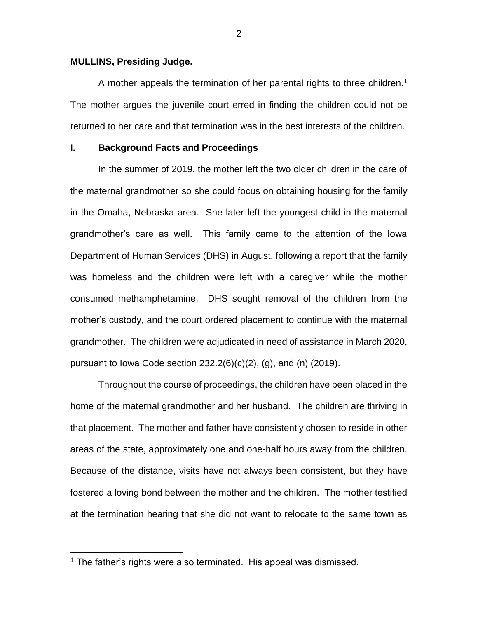#### **MULLINS, Presiding Judge.**

A mother appeals the termination of her parental rights to three children.<sup>1</sup> The mother argues the juvenile court erred in finding the children could not be returned to her care and that termination was in the best interests of the children.

#### **I. Background Facts and Proceedings**

In the summer of 2019, the mother left the two older children in the care of the maternal grandmother so she could focus on obtaining housing for the family in the Omaha, Nebraska area. She later left the youngest child in the maternal grandmother's care as well. This family came to the attention of the Iowa Department of Human Services (DHS) in August, following a report that the family was homeless and the children were left with a caregiver while the mother consumed methamphetamine. DHS sought removal of the children from the mother's custody, and the court ordered placement to continue with the maternal grandmother. The children were adjudicated in need of assistance in March 2020, pursuant to Iowa Code section  $232.2(6)(c)(2)$ , (g), and (n) (2019).

Throughout the course of proceedings, the children have been placed in the home of the maternal grandmother and her husband. The children are thriving in that placement. The mother and father have consistently chosen to reside in other areas of the state, approximately one and one-half hours away from the children. Because of the distance, visits have not always been consistent, but they have fostered a loving bond between the mother and the children. The mother testified at the termination hearing that she did not want to relocate to the same town as

 $\overline{a}$ 

<sup>&</sup>lt;sup>1</sup> The father's rights were also terminated. His appeal was dismissed.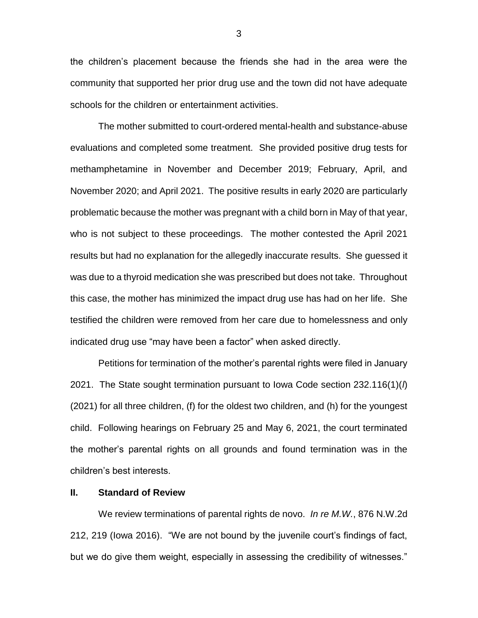the children's placement because the friends she had in the area were the community that supported her prior drug use and the town did not have adequate schools for the children or entertainment activities.

The mother submitted to court-ordered mental-health and substance-abuse evaluations and completed some treatment. She provided positive drug tests for methamphetamine in November and December 2019; February, April, and November 2020; and April 2021. The positive results in early 2020 are particularly problematic because the mother was pregnant with a child born in May of that year, who is not subject to these proceedings. The mother contested the April 2021 results but had no explanation for the allegedly inaccurate results. She guessed it was due to a thyroid medication she was prescribed but does not take. Throughout this case, the mother has minimized the impact drug use has had on her life. She testified the children were removed from her care due to homelessness and only indicated drug use "may have been a factor" when asked directly.

Petitions for termination of the mother's parental rights were filed in January 2021. The State sought termination pursuant to Iowa Code section 232.116(1)(*l*) (2021) for all three children, (f) for the oldest two children, and (h) for the youngest child. Following hearings on February 25 and May 6, 2021, the court terminated the mother's parental rights on all grounds and found termination was in the children's best interests.

#### **II. Standard of Review**

We review terminations of parental rights de novo. *In re M.W.*, 876 N.W.2d 212, 219 (Iowa 2016). "We are not bound by the juvenile court's findings of fact, but we do give them weight, especially in assessing the credibility of witnesses."

3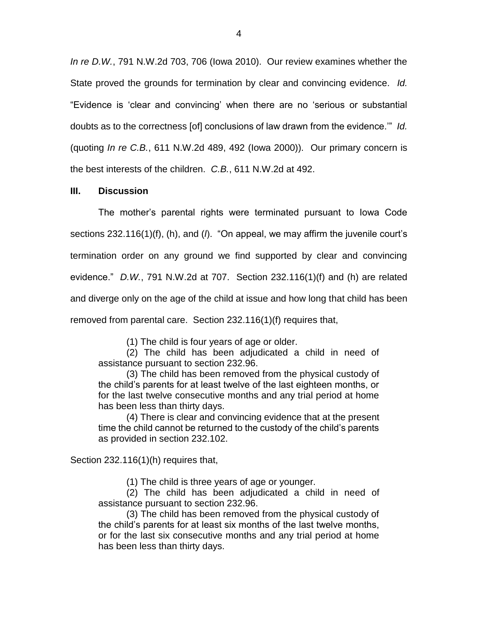*In re D.W.*, 791 N.W.2d 703, 706 (Iowa 2010). Our review examines whether the State proved the grounds for termination by clear and convincing evidence. *Id.* "Evidence is 'clear and convincing' when there are no 'serious or substantial doubts as to the correctness [of] conclusions of law drawn from the evidence.'" *Id.* (quoting *In re C.B.*, 611 N.W.2d 489, 492 (Iowa 2000)). Our primary concern is the best interests of the children. *C.B.*, 611 N.W.2d at 492.

### **III. Discussion**

The mother's parental rights were terminated pursuant to Iowa Code sections 232.116(1)(f), (h), and (*l*). "On appeal, we may affirm the juvenile court's termination order on any ground we find supported by clear and convincing evidence." *D.W.*, 791 N.W.2d at 707. Section 232.116(1)(f) and (h) are related and diverge only on the age of the child at issue and how long that child has been removed from parental care. Section 232.116(1)(f) requires that,

(1) The child is four years of age or older.

(2) The child has been adjudicated a child in need of assistance pursuant to section 232.96.

(3) The child has been removed from the physical custody of the child's parents for at least twelve of the last eighteen months, or for the last twelve consecutive months and any trial period at home has been less than thirty days.

(4) There is clear and convincing evidence that at the present time the child cannot be returned to the custody of the child's parents as provided in section 232.102.

Section 232.116(1)(h) requires that,

(1) The child is three years of age or younger.

(2) The child has been adjudicated a child in need of assistance pursuant to section 232.96.

(3) The child has been removed from the physical custody of the child's parents for at least six months of the last twelve months, or for the last six consecutive months and any trial period at home has been less than thirty days.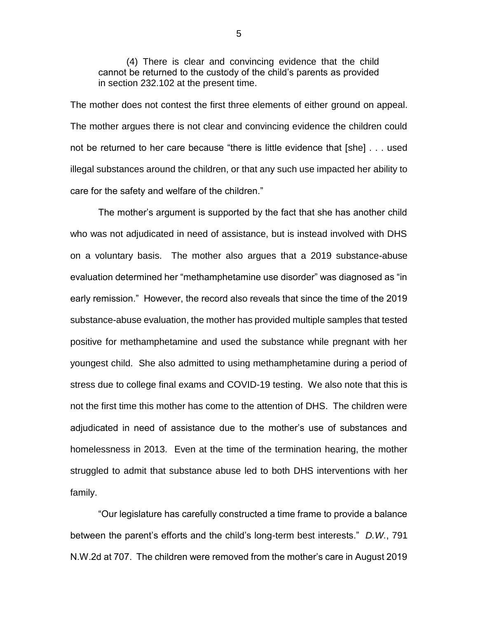(4) There is clear and convincing evidence that the child cannot be returned to the custody of the child's parents as provided in section 232.102 at the present time.

The mother does not contest the first three elements of either ground on appeal. The mother argues there is not clear and convincing evidence the children could not be returned to her care because "there is little evidence that [she] . . . used illegal substances around the children, or that any such use impacted her ability to care for the safety and welfare of the children."

The mother's argument is supported by the fact that she has another child who was not adjudicated in need of assistance, but is instead involved with DHS on a voluntary basis. The mother also argues that a 2019 substance-abuse evaluation determined her "methamphetamine use disorder" was diagnosed as "in early remission." However, the record also reveals that since the time of the 2019 substance-abuse evaluation, the mother has provided multiple samples that tested positive for methamphetamine and used the substance while pregnant with her youngest child. She also admitted to using methamphetamine during a period of stress due to college final exams and COVID-19 testing. We also note that this is not the first time this mother has come to the attention of DHS. The children were adjudicated in need of assistance due to the mother's use of substances and homelessness in 2013. Even at the time of the termination hearing, the mother struggled to admit that substance abuse led to both DHS interventions with her family.

"Our legislature has carefully constructed a time frame to provide a balance between the parent's efforts and the child's long-term best interests." *D.W.*, 791 N.W.2d at 707. The children were removed from the mother's care in August 2019

5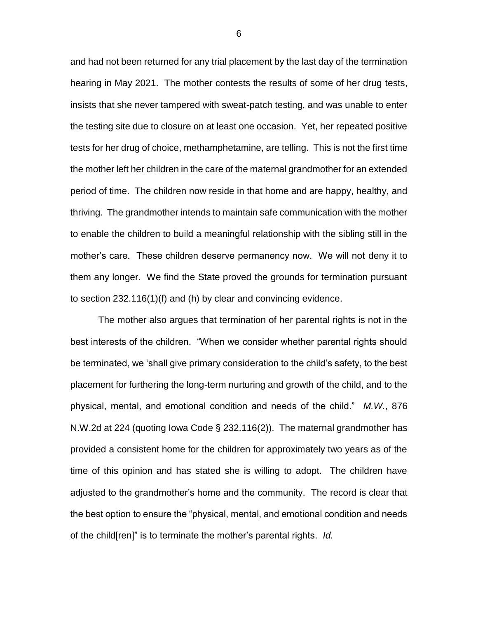and had not been returned for any trial placement by the last day of the termination hearing in May 2021. The mother contests the results of some of her drug tests, insists that she never tampered with sweat-patch testing, and was unable to enter the testing site due to closure on at least one occasion. Yet, her repeated positive tests for her drug of choice, methamphetamine, are telling. This is not the first time the mother left her children in the care of the maternal grandmother for an extended period of time. The children now reside in that home and are happy, healthy, and thriving. The grandmother intends to maintain safe communication with the mother to enable the children to build a meaningful relationship with the sibling still in the mother's care. These children deserve permanency now. We will not deny it to them any longer. We find the State proved the grounds for termination pursuant to section 232.116(1)(f) and (h) by clear and convincing evidence.

The mother also argues that termination of her parental rights is not in the best interests of the children. "When we consider whether parental rights should be terminated, we 'shall give primary consideration to the child's safety, to the best placement for furthering the long-term nurturing and growth of the child, and to the physical, mental, and emotional condition and needs of the child." *M.W.*, 876 N.W.2d at 224 (quoting Iowa Code § 232.116(2)). The maternal grandmother has provided a consistent home for the children for approximately two years as of the time of this opinion and has stated she is willing to adopt. The children have adjusted to the grandmother's home and the community. The record is clear that the best option to ensure the "physical, mental, and emotional condition and needs of the child[ren]" is to terminate the mother's parental rights. *Id.* 

6